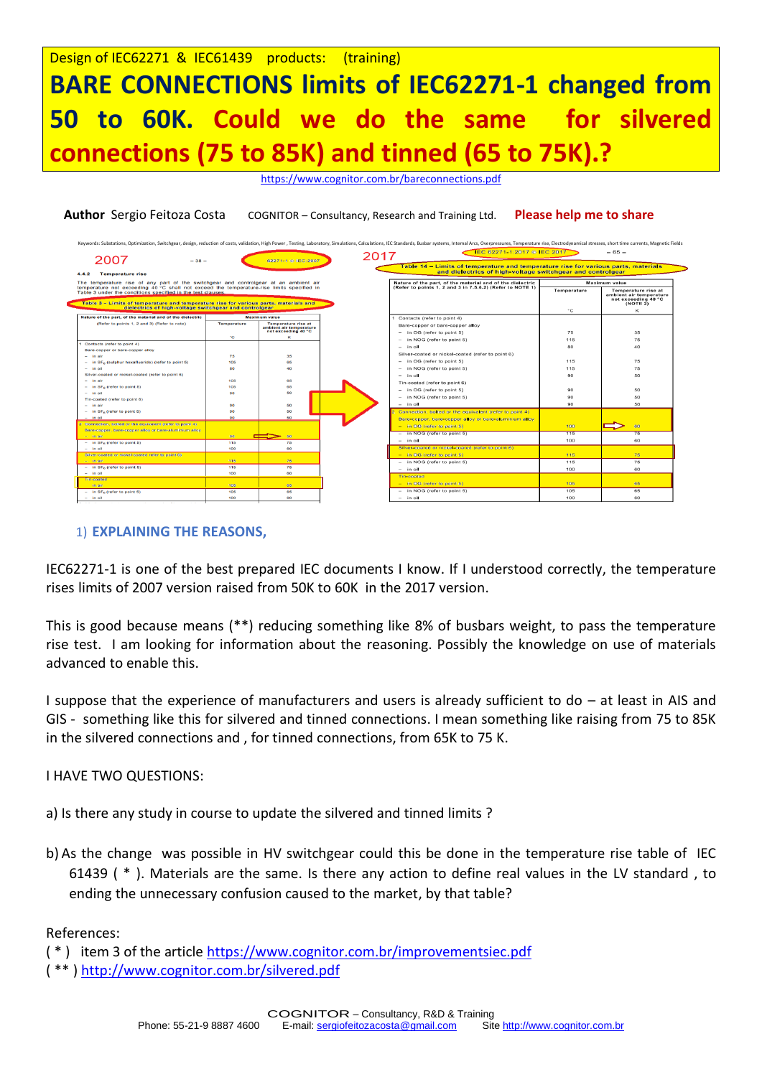<https://www.cognitor.com.br/bareconnections.pdf>

| 2007<br>$-38-$                                                                                                                                                                    |                    |                                                       | EC 62271-1:2017 © IEC 2017<br>2017                                                                                     |               | $-65-$                                                                                   |
|-----------------------------------------------------------------------------------------------------------------------------------------------------------------------------------|--------------------|-------------------------------------------------------|------------------------------------------------------------------------------------------------------------------------|---------------|------------------------------------------------------------------------------------------|
|                                                                                                                                                                                   |                    | 62271-1 @ IEC:2007                                    | Table 14 - Limits of temperature and temperature rise for various parts, materials                                     |               |                                                                                          |
| 4.4.2<br><b>Temperature rise</b>                                                                                                                                                  |                    |                                                       | and dielectrics of high-voltage switchgear and controlgear                                                             |               |                                                                                          |
| The temperature rise of any part of the switchgear and controlgear at an ambient air<br>temperature not exceeding 40 °C shall not exceed the temperature-rise limits specified in |                    |                                                       | Nature of the part, of the material and of the dielectric<br>(Refer to points 1, 2 and 3 in 7,5,6,2) (Refer to NOTE 1) | Maximum value |                                                                                          |
| Table 3 under the conditions specified in the test clauses.<br>Table 3 - Limits of temperature and temperature rise for various parts, materials and                              |                    |                                                       |                                                                                                                        | Temperature   | <b>Temperature rise at</b><br>ambient air temperature<br>not exceeding 40 °C<br>(NOTE 2) |
| dielectrics of high-voltage switchgear and controlgear                                                                                                                            |                    |                                                       |                                                                                                                        | °C            | κ                                                                                        |
| Nature of the part, of the material and of the dielectric                                                                                                                         |                    | <b>Maximum value</b>                                  | Contacts (refer to point 4)                                                                                            |               |                                                                                          |
| (Refer to points 1, 2 and 3) (Refer to note)                                                                                                                                      | <b>Temperature</b> | <b>Temperature rise at</b><br>ambient air temperature | Bare-copper or bare-copper alloy                                                                                       |               |                                                                                          |
|                                                                                                                                                                                   |                    | not exceeding 40 °C                                   | - in OG (refer to point 5)                                                                                             | 75            | 35                                                                                       |
|                                                                                                                                                                                   | ۰c                 | к                                                     | in NOG (refer to point 5)                                                                                              | 115           | 75                                                                                       |
| 1 Contacts (refer to point 4)                                                                                                                                                     |                    |                                                       | $-$ in oil                                                                                                             | 80            | 40                                                                                       |
| Bare-copper or bare-copper alloy<br>$-$ in air                                                                                                                                    | 75                 | 35                                                    | Silver-coated or nickel-coated (refer to point 6)                                                                      |               |                                                                                          |
| $-$ in $SFa$ (sulphur hexafluoride) (refer to point 5)                                                                                                                            | 105                | 65                                                    | in OG (refer to point 5)                                                                                               | 115           | 75                                                                                       |
| $-$ in oil                                                                                                                                                                        | 80                 | 40                                                    | in NOG (refer to point 5)                                                                                              | 115           | 75                                                                                       |
| Silver-coated or nickel-coated (refer to point 6)                                                                                                                                 |                    |                                                       | $-$ in oil                                                                                                             | 90            | 50                                                                                       |
| $-$ in air                                                                                                                                                                        | 105                | 65                                                    | Tin-coated (refer to point 6)                                                                                          |               |                                                                                          |
| $-$ in SF <sub>n</sub> (refer to point 5)                                                                                                                                         | 105                | 65                                                    |                                                                                                                        | 90            | 50                                                                                       |
| $-$ in oil                                                                                                                                                                        | 90                 | 50                                                    | - in OG (refer to point 5)                                                                                             | 90            |                                                                                          |
| Tin-coated (refer to point 6)                                                                                                                                                     |                    |                                                       | in NOG (refer to point 5)                                                                                              |               | 50                                                                                       |
| $-$ in air                                                                                                                                                                        | 90                 | 50                                                    | $-$ in oil                                                                                                             | 90            | 50                                                                                       |
| $-$ in SF <sub>n</sub> (refer to point 5)<br>$-$ in oil                                                                                                                           | 90<br>90           | 50<br>50                                              | Connection, botted or the equivalent (refer to point 4)                                                                |               |                                                                                          |
| 2 Connection, bolted or the equivalent (refer to point 4).                                                                                                                        |                    |                                                       | Bare-copper, bare-copper alloy or bare-aluminium alloy                                                                 |               |                                                                                          |
| Bare-copper, bare-copper alloy or bare-aluminium alloy                                                                                                                            |                    |                                                       | $-$ in OG (refer to point 5)                                                                                           | 100           | 60                                                                                       |
| $-$ in air                                                                                                                                                                        | 90.                | 50                                                    | - in NOG (refer to point 5)                                                                                            | 115           | 75                                                                                       |
| $-$ in SF <sub>6</sub> (refer to point 5)                                                                                                                                         | 115                | 75                                                    | $-$ in oil                                                                                                             | 100           | 60                                                                                       |
| $-$ in oil                                                                                                                                                                        | 100                | 60                                                    | Silver-coated or nickel-coated (refer to point 6)                                                                      |               |                                                                                          |
| Silver-coated or nickel-coated refer to point 6)                                                                                                                                  |                    |                                                       | $-$ in OG (refer to point 5)                                                                                           | 115           | 75                                                                                       |
| $-$ in air.                                                                                                                                                                       | 115                | 75                                                    | - in NOG (refer to point 5)                                                                                            | 115           | 75                                                                                       |
| $-$ in SF <sub>6</sub> (refer to point 5)                                                                                                                                         | 115                | 75                                                    | $-$ in oil                                                                                                             | 100           | 60                                                                                       |
| $-$ in oil                                                                                                                                                                        | 100                | 60                                                    | Tin-coated                                                                                                             |               |                                                                                          |
| Tin-coated                                                                                                                                                                        |                    |                                                       | $-$ in OG (refer to point 5)                                                                                           | 105           | 65                                                                                       |
| in air                                                                                                                                                                            | 105                | 65                                                    | - in NOG (refer to point 5)                                                                                            | 105           | 65                                                                                       |
| $-$ in SF <sub>n</sub> (refer to point 5)                                                                                                                                         | 105                | 65<br>60                                              |                                                                                                                        |               |                                                                                          |
| $-$ in oil                                                                                                                                                                        | 100                |                                                       | $-$ in oil                                                                                                             | 100           | 60                                                                                       |

## 1) **EXPLAINING THE REASONS,**

IEC62271-1 is one of the best prepared IEC documents I know. If I understood correctly, the temperature rises limits of 2007 version raised from 50K to 60K in the 2017 version.

This is good because means (\*\*) reducing something like 8% of busbars weight, to pass the temperature rise test. I am looking for information about the reasoning. Possibly the knowledge on use of materials advanced to enable this.

I suppose that the experience of manufacturers and users is already sufficient to do – at least in AIS and GIS - something like this for silvered and tinned connections. I mean something like raising from 75 to 85K in the silvered connections and , for tinned connections, from 65K to 75 K.

## I HAVE TWO QUESTIONS:

a) Is there any study in course to update the silvered and tinned limits ?

b) As the change was possible in HV switchgear could this be done in the temperature rise table of IEC 61439 ( \* ). Materials are the same. Is there any action to define real values in the LV standard , to ending the unnecessary confusion caused to the market, by that table?

References:

<sup>( \* )</sup> item 3 of the article<https://www.cognitor.com.br/improvementsiec.pdf>

<sup>( \*\* )</sup><http://www.cognitor.com.br/silvered.pdf>